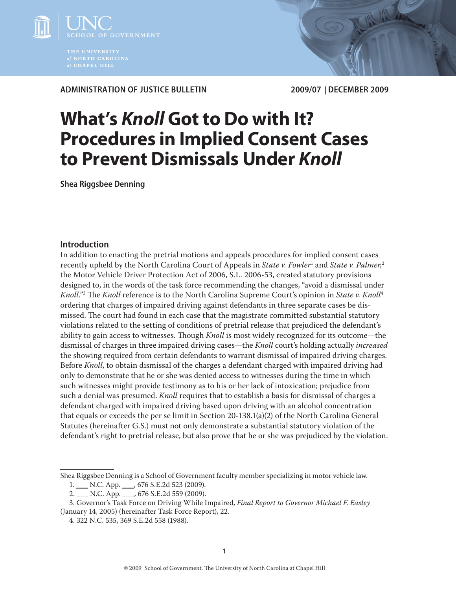

**Administration of Justice Bulletin 2009/07 | DECember 2009**

# **What's** *Knoll* **Got to Do with It? Procedures in Implied Consent Cases to Prevent Dismissals Under** *Knoll*

**Shea Riggsbee Denning**

## **Introduction**

In addition to enacting the pretrial motions and appeals procedures for implied consent cases recently upheld by the North Carolina Court of Appeals in *State v. Fowler*<sup>1</sup> and *State v. Palmer*, 2 the Motor Vehicle Driver Protection Act of 2006, S.L. 2006-53, created statutory provisions designed to, in the words of the task force recommending the changes, "avoid a dismissal under *Knoll*."3 The *Knoll* reference is to the North Carolina Supreme Court's opinion in *State v. Knoll*<sup>4</sup> ordering that charges of impaired driving against defendants in three separate cases be dismissed. The court had found in each case that the magistrate committed substantial statutory violations related to the setting of conditions of pretrial release that prejudiced the defendant's ability to gain access to witnesses. Though *Knoll* is most widely recognized for its outcome—the dismissal of charges in three impaired driving cases—the *Knoll* court's holding actually *increased* the showing required from certain defendants to warrant dismissal of impaired driving charges. Before *Knoll*, to obtain dismissal of the charges a defendant charged with impaired driving had only to demonstrate that he or she was denied access to witnesses during the time in which such witnesses might provide testimony as to his or her lack of intoxication; prejudice from such a denial was presumed. *Knoll* requires that to establish a basis for dismissal of charges a defendant charged with impaired driving based upon driving with an alcohol concentration that equals or exceeds the per se limit in Section 20-138.1(a)(2) of the North Carolina General Statutes (hereinafter G.S.) must not only demonstrate a substantial statutory violation of the defendant's right to pretrial release, but also prove that he or she was prejudiced by the violation.

Shea Riggsbee Denning is a School of Government faculty member specializing in motor vehicle law.

<sup>1.</sup> \_\_\_ N.C. App. \_\_\_, 676 S.E.2d 523 (2009).

<sup>2.</sup> \_\_\_ N.C. App. \_\_\_, 676 S.E.2d 559 (2009).

<sup>3.</sup> Governor's Task Force on Driving While Impaired, *Final Report to Governor Michael F. Easley* (January 14, 2005) (hereinafter Task Force Report), 22.

<sup>4. 322</sup> N.C. 535, 369 S.E.2d 558 (1988).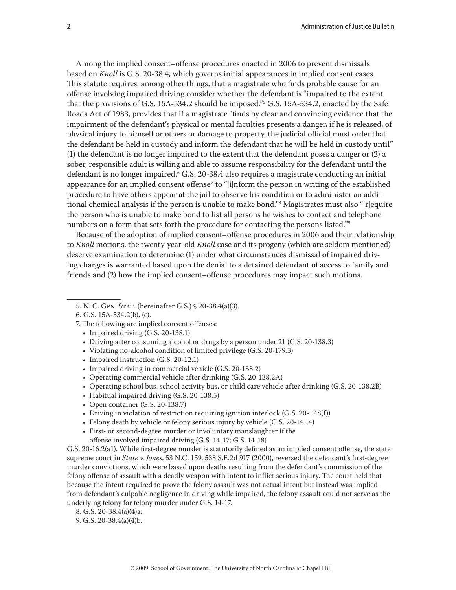Among the implied consent–offense procedures enacted in 2006 to prevent dismissals based on *Knoll* is G.S. 20-38.4, which governs initial appearances in implied consent cases. This statute requires, among other things, that a magistrate who finds probable cause for an offense involving impaired driving consider whether the defendant is "impaired to the extent that the provisions of G.S. 15A-534.2 should be imposed."5 G.S. 15A-534.2, enacted by the Safe Roads Act of 1983, provides that if a magistrate "finds by clear and convincing evidence that the impairment of the defendant's physical or mental faculties presents a danger, if he is released, of physical injury to himself or others or damage to property, the judicial official must order that the defendant be held in custody and inform the defendant that he will be held in custody until" (1) the defendant is no longer impaired to the extent that the defendant poses a danger or (2) a sober, responsible adult is willing and able to assume responsibility for the defendant until the defendant is no longer impaired.6 G.S. 20-38.4 also requires a magistrate conducting an initial appearance for an implied consent offense<sup>7</sup> to "[i]nform the person in writing of the established procedure to have others appear at the jail to observe his condition or to administer an additional chemical analysis if the person is unable to make bond."8 Magistrates must also "[r]equire the person who is unable to make bond to list all persons he wishes to contact and telephone numbers on a form that sets forth the procedure for contacting the persons listed."9

Because of the adoption of implied consent–offense procedures in 2006 and their relationship to *Knoll* motions, the twenty-year-old *Knoll* case and its progeny (which are seldom mentioned) deserve examination to determine (1) under what circumstances dismissal of impaired driving charges is warranted based upon the denial to a detained defendant of access to family and friends and (2) how the implied consent–offense procedures may impact such motions.

- Impaired driving (G.S. 20-138.1)
- Driving after consuming alcohol or drugs by a person under 21 (G.S. 20-138.3)
- Violating no-alcohol condition of limited privilege (G.S. 20-179.3)
- Impaired instruction (G.S. 20-12.1)
- Impaired driving in commercial vehicle (G.S. 20-138.2)
- Operating commercial vehicle after drinking (G.S. 20-138.2A)
- Operating school bus, school activity bus, or child care vehicle after drinking (G.S. 20-138.2B)
- Habitual impaired driving (G.S. 20-138.5)
- Open container (G.S. 20-138.7)
- Driving in violation of restriction requiring ignition interlock (G.S. 20-17.8(f))
- Felony death by vehicle or felony serious injury by vehicle (G.S. 20-141.4)
- First- or second-degree murder or involuntary manslaughter if the offense involved impaired driving (G.S. 14-17; G.S. 14-18)

G.S. 20-16.2(a1). While first-degree murder is statutorily defined as an implied consent offense, the state supreme court in *State v. Jones*, 53 N.C. 159, 538 S.E.2d 917 (2000), reversed the defendant's first-degree murder convictions, which were based upon deaths resulting from the defendant's commission of the felony offense of assault with a deadly weapon with intent to inflict serious injury. The court held that because the intent required to prove the felony assault was not actual intent but instead was implied from defendant's culpable negligence in driving while impaired, the felony assault could not serve as the underlying felony for felony murder under G.S. 14-17.

8. G.S. 20-38.4(a)(4)a.

<sup>5.</sup> N. C. Gen. Stat. (hereinafter G.S.) § 20-38.4(a)(3).

<sup>6.</sup> G.S. 15A-534.2(b), (c).

<sup>7.</sup> The following are implied consent offenses:

<sup>9.</sup> G.S. 20-38.4(a)(4)b.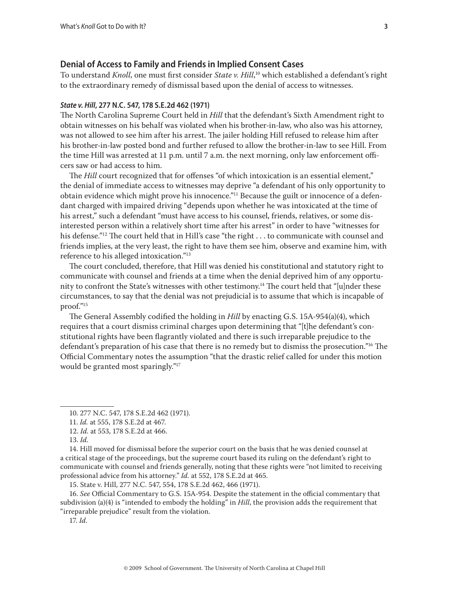#### **Denial of Access to Family and Friends in Implied Consent Cases**

To understand *Knoll*, one must first consider *State v. Hill*, 10 which established a defendant's right to the extraordinary remedy of dismissal based upon the denial of access to witnesses.

#### *State v. Hill***, 277 N.C. 547, 178 S.E.2d 462 (1971)**

The North Carolina Supreme Court held in *Hill* that the defendant's Sixth Amendment right to obtain witnesses on his behalf was violated when his brother-in-law, who also was his attorney, was not allowed to see him after his arrest. The jailer holding Hill refused to release him after his brother-in-law posted bond and further refused to allow the brother-in-law to see Hill. From the time Hill was arrested at 11 p.m. until 7 a.m. the next morning, only law enforcement officers saw or had access to him.

The *Hill* court recognized that for offenses "of which intoxication is an essential element," the denial of immediate access to witnesses may deprive "a defendant of his only opportunity to obtain evidence which might prove his innocence."<sup>11</sup> Because the guilt or innocence of a defendant charged with impaired driving "depends upon whether he was intoxicated at the time of his arrest," such a defendant "must have access to his counsel, friends, relatives, or some disinterested person within a relatively short time after his arrest" in order to have "witnesses for his defense."<sup>12</sup> The court held that in Hill's case "the right . . . to communicate with counsel and friends implies, at the very least, the right to have them see him, observe and examine him, with reference to his alleged intoxication."13

The court concluded, therefore, that Hill was denied his constitutional and statutory right to communicate with counsel and friends at a time when the denial deprived him of any opportunity to confront the State's witnesses with other testimony.<sup>14</sup> The court held that "[u]nder these circumstances, to say that the denial was not prejudicial is to assume that which is incapable of proof."15

The General Assembly codified the holding in *Hill* by enacting G.S. 15A-954(a)(4), which requires that a court dismiss criminal charges upon determining that "[t]he defendant's constitutional rights have been flagrantly violated and there is such irreparable prejudice to the defendant's preparation of his case that there is no remedy but to dismiss the prosecution."16 The Official Commentary notes the assumption "that the drastic relief called for under this motion would be granted most sparingly."17

17. *Id.*

<sup>10. 277</sup> N.C. 547, 178 S.E.2d 462 (1971).

<sup>11.</sup> *Id.* at 555, 178 S.E.2d at 467.

<sup>12.</sup> *Id.* at 553, 178 S.E.2d at 466.

<sup>13.</sup> *Id.*

<sup>14.</sup> Hill moved for dismissal before the superior court on the basis that he was denied counsel at a critical stage of the proceedings, but the supreme court based its ruling on the defendant's right to communicate with counsel and friends generally, noting that these rights were "not limited to receiving professional advice from his attorney." *Id.* at 552, 178 S.E.2d at 465.

<sup>15.</sup> State v. Hill, 277 N.C. 547, 554, 178 S.E.2d 462, 466 (1971).

<sup>16.</sup> *See* Official Commentary to G.S. 15A-954. Despite the statement in the official commentary that subdivision (a)(4) is "intended to embody the holding" in *Hill*, the provision adds the requirement that "irreparable prejudice" result from the violation.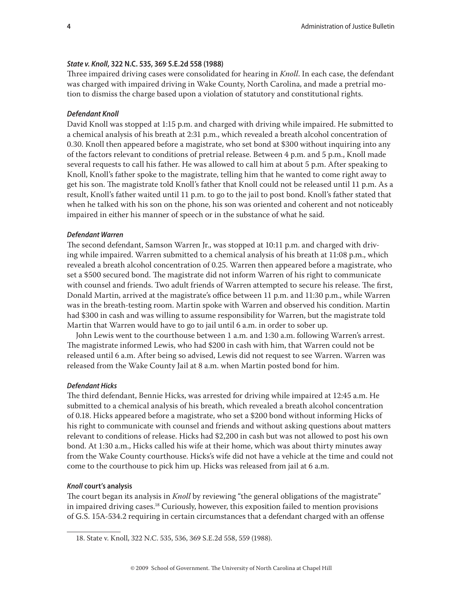#### *State v. Knoll***, 322 N.C. 535, 369 S.E.2d 558 (1988)**

Three impaired driving cases were consolidated for hearing in *Knoll*. In each case, the defendant was charged with impaired driving in Wake County, North Carolina, and made a pretrial motion to dismiss the charge based upon a violation of statutory and constitutional rights.

#### *Defendant Knoll*

David Knoll was stopped at 1:15 p.m. and charged with driving while impaired. He submitted to a chemical analysis of his breath at 2:31 p.m., which revealed a breath alcohol concentration of 0.30. Knoll then appeared before a magistrate, who set bond at \$300 without inquiring into any of the factors relevant to conditions of pretrial release. Between 4 p.m. and 5 p.m., Knoll made several requests to call his father. He was allowed to call him at about 5 p.m. After speaking to Knoll, Knoll's father spoke to the magistrate, telling him that he wanted to come right away to get his son. The magistrate told Knoll's father that Knoll could not be released until 11 p.m. As a result, Knoll's father waited until 11 p.m. to go to the jail to post bond. Knoll's father stated that when he talked with his son on the phone, his son was oriented and coherent and not noticeably impaired in either his manner of speech or in the substance of what he said.

#### *Defendant Warren*

The second defendant, Samson Warren Jr., was stopped at 10:11 p.m. and charged with driving while impaired. Warren submitted to a chemical analysis of his breath at 11:08 p.m., which revealed a breath alcohol concentration of 0.25. Warren then appeared before a magistrate, who set a \$500 secured bond. The magistrate did not inform Warren of his right to communicate with counsel and friends. Two adult friends of Warren attempted to secure his release. The first, Donald Martin, arrived at the magistrate's office between 11 p.m. and 11:30 p.m., while Warren was in the breath-testing room. Martin spoke with Warren and observed his condition. Martin had \$300 in cash and was willing to assume responsibility for Warren, but the magistrate told Martin that Warren would have to go to jail until 6 a.m. in order to sober up.

John Lewis went to the courthouse between 1 a.m. and 1:30 a.m. following Warren's arrest. The magistrate informed Lewis, who had \$200 in cash with him, that Warren could not be released until 6 a.m. After being so advised, Lewis did not request to see Warren. Warren was released from the Wake County Jail at 8 a.m. when Martin posted bond for him.

#### *Defendant Hicks*

The third defendant, Bennie Hicks, was arrested for driving while impaired at 12:45 a.m. He submitted to a chemical analysis of his breath, which revealed a breath alcohol concentration of 0.18. Hicks appeared before a magistrate, who set a \$200 bond without informing Hicks of his right to communicate with counsel and friends and without asking questions about matters relevant to conditions of release. Hicks had \$2,200 in cash but was not allowed to post his own bond. At 1:30 a.m., Hicks called his wife at their home, which was about thirty minutes away from the Wake County courthouse. Hicks's wife did not have a vehicle at the time and could not come to the courthouse to pick him up. Hicks was released from jail at 6 a.m.

#### *Knoll* **court's analysis**

The court began its analysis in *Knoll* by reviewing "the general obligations of the magistrate" in impaired driving cases.<sup>18</sup> Curiously, however, this exposition failed to mention provisions of G.S. 15A-534.2 requiring in certain circumstances that a defendant charged with an offense

<sup>18.</sup> State v. Knoll, 322 N.C. 535, 536, 369 S.E.2d 558, 559 (1988).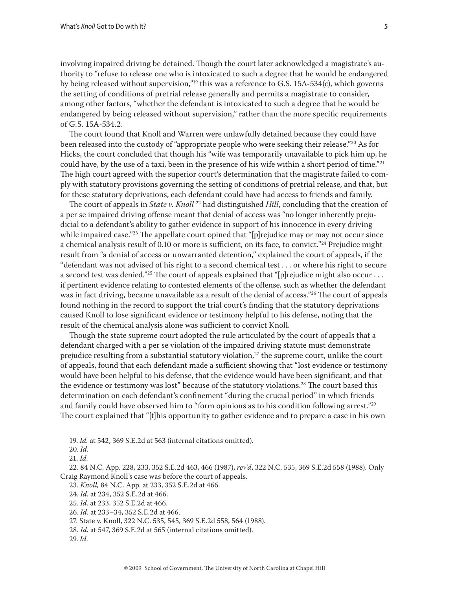involving impaired driving be detained. Though the court later acknowledged a magistrate's authority to "refuse to release one who is intoxicated to such a degree that he would be endangered by being released without supervision,"<sup>19</sup> this was a reference to G.S. 15A-534(c), which governs the setting of conditions of pretrial release generally and permits a magistrate to consider, among other factors, "whether the defendant is intoxicated to such a degree that he would be endangered by being released without supervision," rather than the more specific requirements of G.S. 15A-534.2.

The court found that Knoll and Warren were unlawfully detained because they could have been released into the custody of "appropriate people who were seeking their release."<sup>20</sup> As for Hicks, the court concluded that though his "wife was temporarily unavailable to pick him up, he could have, by the use of a taxi, been in the presence of his wife within a short period of time."<sup>21</sup> The high court agreed with the superior court's determination that the magistrate failed to comply with statutory provisions governing the setting of conditions of pretrial release, and that, but for these statutory deprivations, each defendant could have had access to friends and family.

The court of appeals in *State v. Knoll*<sup>22</sup> had distinguished *Hill*, concluding that the creation of a per se impaired driving offense meant that denial of access was "no longer inherently prejudicial to a defendant's ability to gather evidence in support of his innocence in every driving while impaired case."<sup>23</sup> The appellate court opined that "[p]rejudice may or may not occur since a chemical analysis result of 0.10 or more is sufficient, on its face, to convict."24 Prejudice might result from "a denial of access or unwarranted detention," explained the court of appeals, if the "defendant was not advised of his right to a second chemical test . . . or where his right to secure a second test was denied."<sup>25</sup> The court of appeals explained that "[p]rejudice might also occur . . . if pertinent evidence relating to contested elements of the offense, such as whether the defendant was in fact driving, became unavailable as a result of the denial of access."<sup>26</sup> The court of appeals found nothing in the record to support the trial court's finding that the statutory deprivations caused Knoll to lose significant evidence or testimony helpful to his defense, noting that the result of the chemical analysis alone was sufficient to convict Knoll.

Though the state supreme court adopted the rule articulated by the court of appeals that a defendant charged with a per se violation of the impaired driving statute must demonstrate prejudice resulting from a substantial statutory violation, $27$  the supreme court, unlike the court of appeals, found that each defendant made a sufficient showing that "lost evidence or testimony would have been helpful to his defense, that the evidence would have been significant, and that the evidence or testimony was lost" because of the statutory violations.<sup>28</sup> The court based this determination on each defendant's confinement "during the crucial period" in which friends and family could have observed him to "form opinions as to his condition following arrest."<sup>29</sup> The court explained that "[t]his opportunity to gather evidence and to prepare a case in his own

- 23. *Knoll,* 84 N.C. App. at 233, 352 S.E.2d at 466.
- 24. *Id.* at 234, 352 S.E.2d at 466.
- 25. *Id*. at 233, 352 S.E.2d at 466.

- 27. State v. Knoll, 322 N.C. 535, 545, 369 S.E.2d 558, 564 (1988).
- 28. *Id.* at 547, 369 S.E.2d at 565 (internal citations omitted).
- 29. *Id.*

<sup>19.</sup> *Id.* at 542, 369 S.E.2d at 563 (internal citations omitted).

<sup>20.</sup> *Id.*

<sup>21.</sup> *Id.*

<sup>22. 84</sup> N.C. App. 228, 233, 352 S.E.2d 463, 466 (1987), *rev'd*, 322 N.C. 535, 369 S.E.2d 558 (1988). Only Craig Raymond Knoll's case was before the court of appeals.

<sup>26.</sup> *Id.* at 233–34, 352 S.E.2d at 466.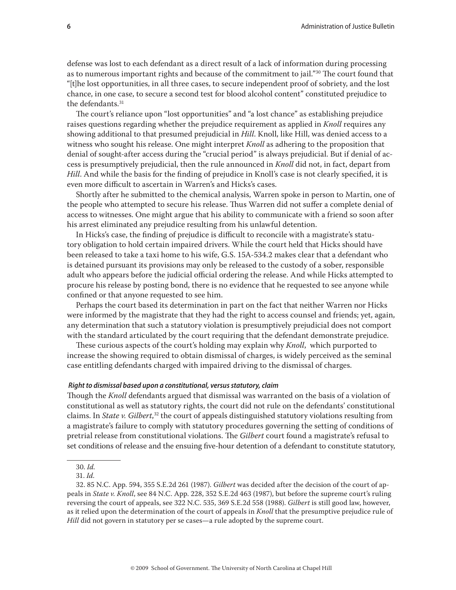defense was lost to each defendant as a direct result of a lack of information during processing as to numerous important rights and because of the commitment to jail."<sup>30</sup> The court found that "[t]he lost opportunities, in all three cases, to secure independent proof of sobriety, and the lost chance, in one case, to secure a second test for blood alcohol content" constituted prejudice to the defendants.31

The court's reliance upon "lost opportunities" and "a lost chance" as establishing prejudice raises questions regarding whether the prejudice requirement as applied in *Knoll* requires any showing additional to that presumed prejudicial in *Hill*. Knoll, like Hill, was denied access to a witness who sought his release. One might interpret *Knoll* as adhering to the proposition that denial of sought-after access during the "crucial period" is always prejudicial. But if denial of access is presumptively prejudicial, then the rule announced in *Knoll* did not, in fact, depart from *Hill*. And while the basis for the finding of prejudice in Knoll's case is not clearly specified, it is even more difficult to ascertain in Warren's and Hicks's cases.

Shortly after he submitted to the chemical analysis, Warren spoke in person to Martin, one of the people who attempted to secure his release. Thus Warren did not suffer a complete denial of access to witnesses. One might argue that his ability to communicate with a friend so soon after his arrest eliminated any prejudice resulting from his unlawful detention.

In Hicks's case, the finding of prejudice is difficult to reconcile with a magistrate's statutory obligation to hold certain impaired drivers. While the court held that Hicks should have been released to take a taxi home to his wife, G.S. 15A-534.2 makes clear that a defendant who is detained pursuant its provisions may only be released to the custody of a sober, responsible adult who appears before the judicial official ordering the release. And while Hicks attempted to procure his release by posting bond, there is no evidence that he requested to see anyone while confined or that anyone requested to see him.

Perhaps the court based its determination in part on the fact that neither Warren nor Hicks were informed by the magistrate that they had the right to access counsel and friends; yet, again, any determination that such a statutory violation is presumptively prejudicial does not comport with the standard articulated by the court requiring that the defendant demonstrate prejudice.

These curious aspects of the court's holding may explain why *Knoll*, which purported to increase the showing required to obtain dismissal of charges, is widely perceived as the seminal case entitling defendants charged with impaired driving to the dismissal of charges.

#### *Right to dismissal based upon a constitutional, versus statutory, claim*

Though the *Knoll* defendants argued that dismissal was warranted on the basis of a violation of constitutional as well as statutory rights, the court did not rule on the defendants' constitutional claims. In *State v. Gilbert*, 32 the court of appeals distinguished statutory violations resulting from a magistrate's failure to comply with statutory procedures governing the setting of conditions of pretrial release from constitutional violations. The *Gilbert* court found a magistrate's refusal to set conditions of release and the ensuing five-hour detention of a defendant to constitute statutory,

30. *Id.*

31. *Id.*

<sup>32. 85</sup> N.C. App. 594, 355 S.E.2d 261 (1987). *Gilbert* was decided after the decision of the court of appeals in *State v. Knoll*, see 84 N.C. App. 228, 352 S.E.2d 463 (1987), but before the supreme court's ruling reversing the court of appeals, see 322 N.C. 535, 369 S.E.2d 558 (1988). *Gilbert* is still good law, however, as it relied upon the determination of the court of appeals in *Knoll* that the presumptive prejudice rule of *Hill* did not govern in statutory per se cases—a rule adopted by the supreme court.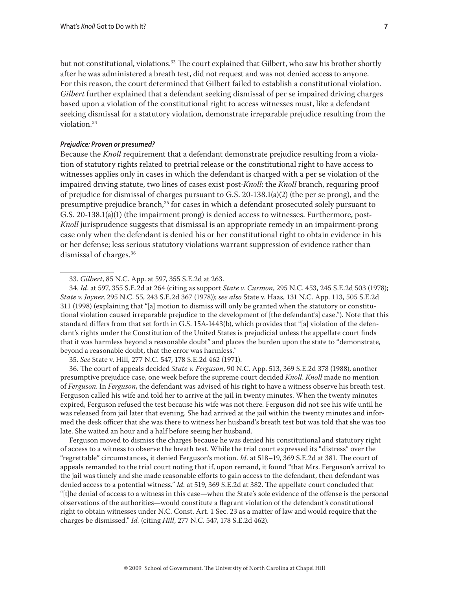but not constitutional, violations.<sup>33</sup> The court explained that Gilbert, who saw his brother shortly after he was administered a breath test, did not request and was not denied access to anyone. For this reason, the court determined that Gilbert failed to establish a constitutional violation. *Gilbert* further explained that a defendant seeking dismissal of per se impaired driving charges based upon a violation of the constitutional right to access witnesses must, like a defendant seeking dismissal for a statutory violation, demonstrate irreparable prejudice resulting from the violation.34

#### *Prejudice: Proven or presumed?*

Because the *Knoll* requirement that a defendant demonstrate prejudice resulting from a violation of statutory rights related to pretrial release or the constitutional right to have access to witnesses applies only in cases in which the defendant is charged with a per se violation of the impaired driving statute, two lines of cases exist post-*Knoll*: the *Knoll* branch, requiring proof of prejudice for dismissal of charges pursuant to G.S. 20-138.1(a)(2) (the per se prong), and the presumptive prejudice branch,<sup>35</sup> for cases in which a defendant prosecuted solely pursuant to G.S. 20-138.1(a)(1) (the impairment prong) is denied access to witnesses. Furthermore, post-*Knoll* jurisprudence suggests that dismissal is an appropriate remedy in an impairment-prong case only when the defendant is denied his or her constitutional right to obtain evidence in his or her defense; less serious statutory violations warrant suppression of evidence rather than dismissal of charges.36

35. *See* State v. Hill, 277 N.C. 547, 178 S.E.2d 462 (1971).

36. The court of appeals decided *State v. Ferguson*, 90 N.C. App. 513, 369 S.E.2d 378 (1988), another presumptive prejudice case, one week before the supreme court decided *Knoll*. *Knoll* made no mention of *Ferguson*. In *Ferguson*, the defendant was advised of his right to have a witness observe his breath test. Ferguson called his wife and told her to arrive at the jail in twenty minutes. When the twenty minutes expired, Ferguson refused the test because his wife was not there. Ferguson did not see his wife until he was released from jail later that evening. She had arrived at the jail within the twenty minutes and informed the desk officer that she was there to witness her husband's breath test but was told that she was too late. She waited an hour and a half before seeing her husband.

Ferguson moved to dismiss the charges because he was denied his constitutional and statutory right of access to a witness to observe the breath test. While the trial court expressed its "distress" over the "regrettable" circumstances, it denied Ferguson's motion. *Id.* at 518–19, 369 S.E.2d at 381. The court of appeals remanded to the trial court noting that if, upon remand, it found "that Mrs. Ferguson's arrival to the jail was timely and she made reasonable efforts to gain access to the defendant, then defendant was denied access to a potential witness." *Id.* at 519, 369 S.E.2d at 382. The appellate court concluded that "[t]he denial of access to a witness in this case—when the State's sole evidence of the offense is the personal observations of the authorities—would constitute a flagrant violation of the defendant's constitutional right to obtain witnesses under N.C. Const. Art. 1 Sec. 23 as a matter of law and would require that the charges be dismissed." *Id.* (citing *Hill*, 277 N.C. 547, 178 S.E.2d 462).

<sup>33.</sup> *Gilbert*, 85 N.C. App. at 597, 355 S.E.2d at 263.

<sup>34.</sup> *Id*. at 597, 355 S.E.2d at 264 (citing as support *State v. Curmon*, 295 N.C. 453, 245 S.E.2d 503 (1978); *State v. Joyner*, 295 N.C. 55, 243 S.E.2d 367 (1978)); *see also* State v. Haas, 131 N.C. App. 113, 505 S.E.2d 311 (1998) (explaining that "[a] motion to dismiss will only be granted when the statutory or constitutional violation caused irreparable prejudice to the development of [the defendant's] case."). Note that this standard differs from that set forth in G.S. 15A-1443(b), which provides that "[a] violation of the defendant's rights under the Constitution of the United States is prejudicial unless the appellate court finds that it was harmless beyond a reasonable doubt" and places the burden upon the state to "demonstrate, beyond a reasonable doubt, that the error was harmless."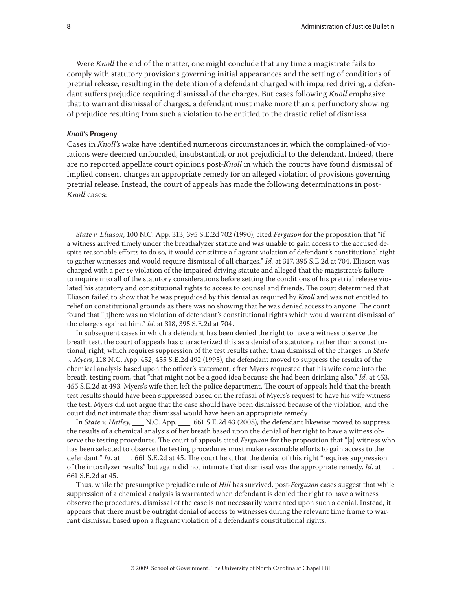Were *Knoll* the end of the matter, one might conclude that any time a magistrate fails to comply with statutory provisions governing initial appearances and the setting of conditions of pretrial release, resulting in the detention of a defendant charged with impaired driving, a defendant suffers prejudice requiring dismissal of the charges. But cases following *Knoll* emphasize that to warrant dismissal of charges, a defendant must make more than a perfunctory showing of prejudice resulting from such a violation to be entitled to the drastic relief of dismissal.

#### *Knoll***'s Progeny**

Cases in *Knoll's* wake have identified numerous circumstances in which the complained-of violations were deemed unfounded, insubstantial, or not prejudicial to the defendant. Indeed, there are no reported appellate court opinions post-*Knoll* in which the courts have found dismissal of implied consent charges an appropriate remedy for an alleged violation of provisions governing pretrial release. Instead, the court of appeals has made the following determinations in post-*Knoll* cases:

*State v. Eliason*, 100 N.C. App. 313, 395 S.E.2d 702 (1990), cited *Ferguson* for the proposition that "if a witness arrived timely under the breathalyzer statute and was unable to gain access to the accused despite reasonable efforts to do so, it would constitute a flagrant violation of defendant's constitutional right to gather witnesses and would require dismissal of all charges." *Id.* at 317, 395 S.E.2d at 704. Eliason was charged with a per se violation of the impaired driving statute and alleged that the magistrate's failure to inquire into all of the statutory considerations before setting the conditions of his pretrial release violated his statutory and constitutional rights to access to counsel and friends. The court determined that Eliason failed to show that he was prejudiced by this denial as required by *Knoll* and was not entitled to relief on constitutional grounds as there was no showing that he was denied access to anyone. The court found that "[t]here was no violation of defendant's constitutional rights which would warrant dismissal of the charges against him." *Id.* at 318, 395 S.E.2d at 704.

In subsequent cases in which a defendant has been denied the right to have a witness observe the breath test, the court of appeals has characterized this as a denial of a statutory, rather than a constitutional, right, which requires suppression of the test results rather than dismissal of the charges. In *State v. Myers*, 118 N.C. App. 452, 455 S.E.2d 492 (1995), the defendant moved to suppress the results of the chemical analysis based upon the officer's statement, after Myers requested that his wife come into the breath-testing room, that "that might not be a good idea because she had been drinking also." *Id.* at 453, 455 S.E.2d at 493. Myers's wife then left the police department. The court of appeals held that the breath test results should have been suppressed based on the refusal of Myers's request to have his wife witness the test. Myers did not argue that the case should have been dismissed because of the violation, and the court did not intimate that dismissal would have been an appropriate remedy.

In *State v. Hatley*, \_\_\_ N.C. App. \_\_\_, 661 S.E.2d 43 (2008), the defendant likewise moved to suppress the results of a chemical analysis of her breath based upon the denial of her right to have a witness observe the testing procedures. The court of appeals cited *Ferguson* for the proposition that "[a] witness who has been selected to observe the testing procedures must make reasonable efforts to gain access to the defendant." *Id.* at \_\_, 661 S.E.2d at 45. The court held that the denial of this right "requires suppression of the intoxilyzer results" but again did not intimate that dismissal was the appropriate remedy. *Id.* at \_\_, 661 S.E.2d at 45.

Thus, while the presumptive prejudice rule of *Hill* has survived, post-*Ferguson* cases suggest that while suppression of a chemical analysis is warranted when defendant is denied the right to have a witness observe the procedures, dismissal of the case is not necessarily warranted upon such a denial. Instead, it appears that there must be outright denial of access to witnesses during the relevant time frame to warrant dismissal based upon a flagrant violation of a defendant's constitutional rights.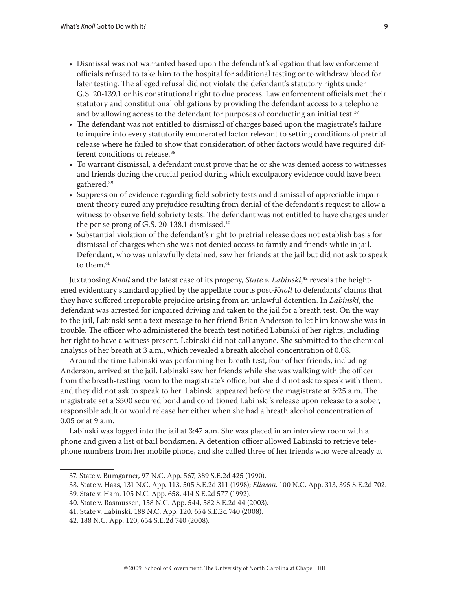- Dismissal was not warranted based upon the defendant's allegation that law enforcement officials refused to take him to the hospital for additional testing or to withdraw blood for later testing. The alleged refusal did not violate the defendant's statutory rights under G.S. 20-139.1 or his constitutional right to due process. Law enforcement officials met their statutory and constitutional obligations by providing the defendant access to a telephone and by allowing access to the defendant for purposes of conducting an initial test.<sup>37</sup>
- The defendant was not entitled to dismissal of charges based upon the magistrate's failure to inquire into every statutorily enumerated factor relevant to setting conditions of pretrial release where he failed to show that consideration of other factors would have required different conditions of release.38
- To warrant dismissal, a defendant must prove that he or she was denied access to witnesses and friends during the crucial period during which exculpatory evidence could have been gathered.39
- Suppression of evidence regarding field sobriety tests and dismissal of appreciable impairment theory cured any prejudice resulting from denial of the defendant's request to allow a witness to observe field sobriety tests. The defendant was not entitled to have charges under the per se prong of G.S. 20-138.1 dismissed.<sup>40</sup>
- Substantial violation of the defendant's right to pretrial release does not establish basis for dismissal of charges when she was not denied access to family and friends while in jail. Defendant, who was unlawfully detained, saw her friends at the jail but did not ask to speak to them.<sup>41</sup>

Juxtaposing *Knoll* and the latest case of its progeny, *State v. Labinski*, 42 reveals the heightened evidentiary standard applied by the appellate courts post-*Knoll* to defendants' claims that they have suffered irreparable prejudice arising from an unlawful detention. In *Labinski*, the defendant was arrested for impaired driving and taken to the jail for a breath test. On the way to the jail, Labinski sent a text message to her friend Brian Anderson to let him know she was in trouble. The officer who administered the breath test notified Labinski of her rights, including her right to have a witness present. Labinski did not call anyone. She submitted to the chemical analysis of her breath at 3 a.m., which revealed a breath alcohol concentration of 0.08.

Around the time Labinski was performing her breath test, four of her friends, including Anderson, arrived at the jail. Labinski saw her friends while she was walking with the officer from the breath-testing room to the magistrate's office, but she did not ask to speak with them, and they did not ask to speak to her. Labinski appeared before the magistrate at 3:25 a.m. The magistrate set a \$500 secured bond and conditioned Labinski's release upon release to a sober, responsible adult or would release her either when she had a breath alcohol concentration of 0.05 or at 9 a.m.

Labinski was logged into the jail at 3:47 a.m. She was placed in an interview room with a phone and given a list of bail bondsmen. A detention officer allowed Labinski to retrieve telephone numbers from her mobile phone, and she called three of her friends who were already at

<sup>37.</sup> State v. Bumgarner, 97 N.C. App. 567, 389 S.E.2d 425 (1990).

<sup>38.</sup> State v. Haas, 131 N.C. App. 113, 505 S.E.2d 311 (1998); *Eliason,* 100 N.C. App. 313, 395 S.E.2d 702.

<sup>39.</sup> State v. Ham, 105 N.C. App. 658, 414 S.E.2d 577 (1992).

<sup>40.</sup> State v. Rasmussen, 158 N.C. App. 544, 582 S.E.2d 44 (2003).

<sup>41.</sup> State v. Labinski, 188 N.C. App. 120, 654 S.E.2d 740 (2008).

<sup>42. 188</sup> N.C. App. 120, 654 S.E.2d 740 (2008).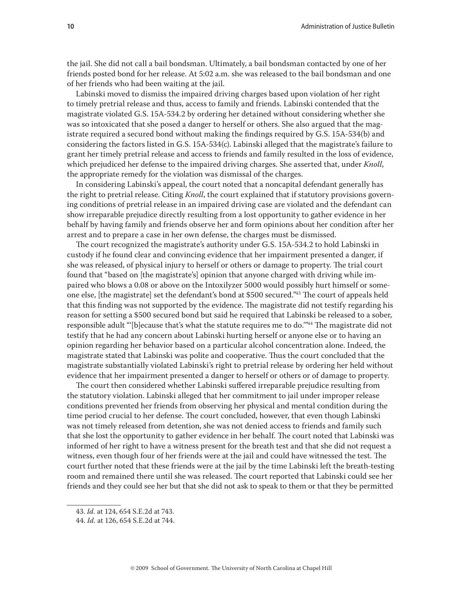the jail. She did not call a bail bondsman. Ultimately, a bail bondsman contacted by one of her friends posted bond for her release. At 5:02 a.m. she was released to the bail bondsman and one of her friends who had been waiting at the jail.

Labinski moved to dismiss the impaired driving charges based upon violation of her right to timely pretrial release and thus, access to family and friends. Labinski contended that the magistrate violated G.S. 15A-534.2 by ordering her detained without considering whether she was so intoxicated that she posed a danger to herself or others. She also argued that the magistrate required a secured bond without making the findings required by G.S. 15A-534(b) and considering the factors listed in G.S. 15A-534(c). Labinski alleged that the magistrate's failure to grant her timely pretrial release and access to friends and family resulted in the loss of evidence, which prejudiced her defense to the impaired driving charges. She asserted that, under *Knoll*, the appropriate remedy for the violation was dismissal of the charges.

In considering Labinski's appeal, the court noted that a noncapital defendant generally has the right to pretrial release. Citing *Knoll*, the court explained that if statutory provisions governing conditions of pretrial release in an impaired driving case are violated and the defendant can show irreparable prejudice directly resulting from a lost opportunity to gather evidence in her behalf by having family and friends observe her and form opinions about her condition after her arrest and to prepare a case in her own defense, the charges must be dismissed.

The court recognized the magistrate's authority under G.S. 15A-534.2 to hold Labinski in custody if he found clear and convincing evidence that her impairment presented a danger, if she was released, of physical injury to herself or others or damage to property. The trial court found that "based on [the magistrate's] opinion that anyone charged with driving while impaired who blows a 0.08 or above on the Intoxilyzer 5000 would possibly hurt himself or someone else, [the magistrate] set the defendant's bond at \$500 secured."43 The court of appeals held that this finding was not supported by the evidence. The magistrate did not testify regarding his reason for setting a \$500 secured bond but said he required that Labinski be released to a sober, responsible adult "'[b]ecause that's what the statute requires me to do.'"44 The magistrate did not testify that he had any concern about Labinski hurting herself or anyone else or to having an opinion regarding her behavior based on a particular alcohol concentration alone. Indeed, the magistrate stated that Labinski was polite and cooperative. Thus the court concluded that the magistrate substantially violated Labinski's right to pretrial release by ordering her held without evidence that her impairment presented a danger to herself or others or of damage to property.

The court then considered whether Labinski suffered irreparable prejudice resulting from the statutory violation. Labinski alleged that her commitment to jail under improper release conditions prevented her friends from observing her physical and mental condition during the time period crucial to her defense. The court concluded, however, that even though Labinski was not timely released from detention, she was not denied access to friends and family such that she lost the opportunity to gather evidence in her behalf. The court noted that Labinski was informed of her right to have a witness present for the breath test and that she did not request a witness, even though four of her friends were at the jail and could have witnessed the test. The court further noted that these friends were at the jail by the time Labinski left the breath-testing room and remained there until she was released. The court reported that Labinski could see her friends and they could see her but that she did not ask to speak to them or that they be permitted

<sup>43.</sup> *Id.* at 124, 654 S.E.2d at 743.

<sup>44.</sup> *Id.* at 126, 654 S.E.2d at 744.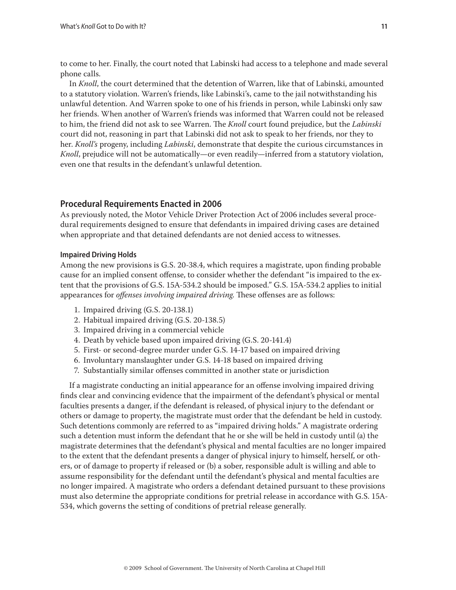to come to her. Finally, the court noted that Labinski had access to a telephone and made several phone calls.

In *Knoll*, the court determined that the detention of Warren, like that of Labinski, amounted to a statutory violation. Warren's friends, like Labinski's, came to the jail notwithstanding his unlawful detention. And Warren spoke to one of his friends in person, while Labinski only saw her friends. When another of Warren's friends was informed that Warren could not be released to him, the friend did not ask to see Warren. The *Knoll* court found prejudice, but the *Labinski* court did not, reasoning in part that Labinski did not ask to speak to her friends, nor they to her. *Knoll's* progeny, including *Labinski*, demonstrate that despite the curious circumstances in *Knoll*, prejudice will not be automatically—or even readily—inferred from a statutory violation, even one that results in the defendant's unlawful detention.

## **Procedural Requirements Enacted in 2006**

As previously noted, the Motor Vehicle Driver Protection Act of 2006 includes several procedural requirements designed to ensure that defendants in impaired driving cases are detained when appropriate and that detained defendants are not denied access to witnesses.

#### **Impaired Driving Holds**

Among the new provisions is G.S. 20-38.4, which requires a magistrate, upon finding probable cause for an implied consent offense, to consider whether the defendant "is impaired to the extent that the provisions of G.S. 15A-534.2 should be imposed." G.S. 15A-534.2 applies to initial appearances for *offenses involving impaired driving*. These offenses are as follows:

- 1. Impaired driving (G.S. 20-138.1)
- 2. Habitual impaired driving (G.S. 20-138.5)
- 3. Impaired driving in a commercial vehicle
- 4. Death by vehicle based upon impaired driving (G.S. 20-141.4)
- 5. First- or second-degree murder under G.S. 14-17 based on impaired driving
- 6. Involuntary manslaughter under G.S. 14-18 based on impaired driving
- 7. Substantially similar offenses committed in another state or jurisdiction

If a magistrate conducting an initial appearance for an offense involving impaired driving finds clear and convincing evidence that the impairment of the defendant's physical or mental faculties presents a danger, if the defendant is released, of physical injury to the defendant or others or damage to property, the magistrate must order that the defendant be held in custody. Such detentions commonly are referred to as "impaired driving holds." A magistrate ordering such a detention must inform the defendant that he or she will be held in custody until (a) the magistrate determines that the defendant's physical and mental faculties are no longer impaired to the extent that the defendant presents a danger of physical injury to himself, herself, or others, or of damage to property if released or (b) a sober, responsible adult is willing and able to assume responsibility for the defendant until the defendant's physical and mental faculties are no longer impaired. A magistrate who orders a defendant detained pursuant to these provisions must also determine the appropriate conditions for pretrial release in accordance with G.S. 15A-534, which governs the setting of conditions of pretrial release generally.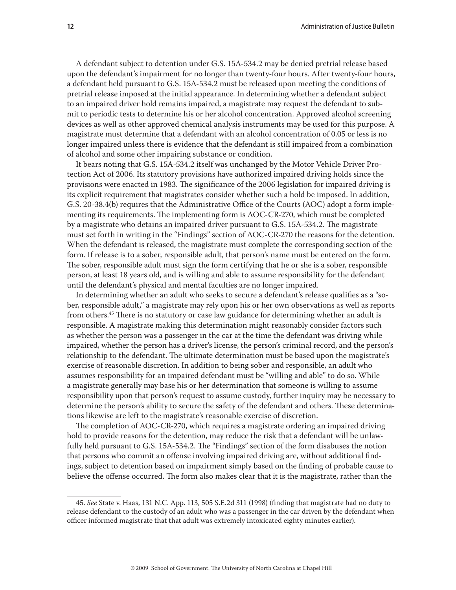A defendant subject to detention under G.S. 15A-534.2 may be denied pretrial release based upon the defendant's impairment for no longer than twenty-four hours. After twenty-four hours, a defendant held pursuant to G.S. 15A-534.2 must be released upon meeting the conditions of pretrial release imposed at the initial appearance. In determining whether a defendant subject to an impaired driver hold remains impaired, a magistrate may request the defendant to submit to periodic tests to determine his or her alcohol concentration. Approved alcohol screening devices as well as other approved chemical analysis instruments may be used for this purpose. A magistrate must determine that a defendant with an alcohol concentration of 0.05 or less is no longer impaired unless there is evidence that the defendant is still impaired from a combination of alcohol and some other impairing substance or condition.

It bears noting that G.S. 15A-534.2 itself was unchanged by the Motor Vehicle Driver Protection Act of 2006. Its statutory provisions have authorized impaired driving holds since the provisions were enacted in 1983. The significance of the 2006 legislation for impaired driving is its explicit requirement that magistrates consider whether such a hold be imposed. In addition, G.S. 20-38.4(b) requires that the Administrative Office of the Courts (AOC) adopt a form implementing its requirements. The implementing form is AOC-CR-270, which must be completed by a magistrate who detains an impaired driver pursuant to G.S. 15A-534.2. The magistrate must set forth in writing in the "Findings" section of AOC-CR-270 the reasons for the detention. When the defendant is released, the magistrate must complete the corresponding section of the form. If release is to a sober, responsible adult, that person's name must be entered on the form. The sober, responsible adult must sign the form certifying that he or she is a sober, responsible person, at least 18 years old, and is willing and able to assume responsibility for the defendant until the defendant's physical and mental faculties are no longer impaired.

In determining whether an adult who seeks to secure a defendant's release qualifies as a "sober, responsible adult," a magistrate may rely upon his or her own observations as well as reports from others.<sup>45</sup> There is no statutory or case law guidance for determining whether an adult is responsible. A magistrate making this determination might reasonably consider factors such as whether the person was a passenger in the car at the time the defendant was driving while impaired, whether the person has a driver's license, the person's criminal record, and the person's relationship to the defendant. The ultimate determination must be based upon the magistrate's exercise of reasonable discretion. In addition to being sober and responsible, an adult who assumes responsibility for an impaired defendant must be "willing and able" to do so. While a magistrate generally may base his or her determination that someone is willing to assume responsibility upon that person's request to assume custody, further inquiry may be necessary to determine the person's ability to secure the safety of the defendant and others. These determinations likewise are left to the magistrate's reasonable exercise of discretion.

The completion of AOC-CR-270, which requires a magistrate ordering an impaired driving hold to provide reasons for the detention, may reduce the risk that a defendant will be unlawfully held pursuant to G.S. 15A-534.2. The "Findings" section of the form disabuses the notion that persons who commit an offense involving impaired driving are, without additional findings, subject to detention based on impairment simply based on the finding of probable cause to believe the offense occurred. The form also makes clear that it is the magistrate, rather than the

<sup>45.</sup> *See* State v. Haas, 131 N.C. App. 113, 505 S.E.2d 311 (1998) (finding that magistrate had no duty to release defendant to the custody of an adult who was a passenger in the car driven by the defendant when officer informed magistrate that that adult was extremely intoxicated eighty minutes earlier).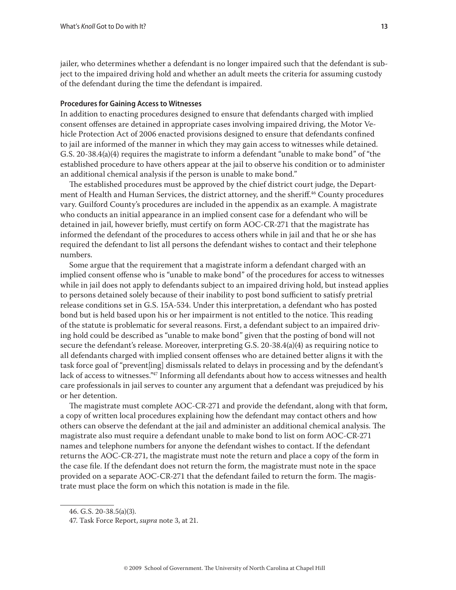jailer, who determines whether a defendant is no longer impaired such that the defendant is subject to the impaired driving hold and whether an adult meets the criteria for assuming custody of the defendant during the time the defendant is impaired.

#### **Procedures for Gaining Access to Witnesses**

In addition to enacting procedures designed to ensure that defendants charged with implied consent offenses are detained in appropriate cases involving impaired driving, the Motor Vehicle Protection Act of 2006 enacted provisions designed to ensure that defendants confined to jail are informed of the manner in which they may gain access to witnesses while detained. G.S. 20-38.4(a)(4) requires the magistrate to inform a defendant "unable to make bond" of "the established procedure to have others appear at the jail to observe his condition or to administer an additional chemical analysis if the person is unable to make bond."

The established procedures must be approved by the chief district court judge, the Department of Health and Human Services, the district attorney, and the sheriff.<sup>46</sup> County procedures vary. Guilford County's procedures are included in the appendix as an example. A magistrate who conducts an initial appearance in an implied consent case for a defendant who will be detained in jail, however briefly, must certify on form AOC-CR-271 that the magistrate has informed the defendant of the procedures to access others while in jail and that he or she has required the defendant to list all persons the defendant wishes to contact and their telephone numbers.

Some argue that the requirement that a magistrate inform a defendant charged with an implied consent offense who is "unable to make bond" of the procedures for access to witnesses while in jail does not apply to defendants subject to an impaired driving hold, but instead applies to persons detained solely because of their inability to post bond sufficient to satisfy pretrial release conditions set in G.S. 15A-534. Under this interpretation, a defendant who has posted bond but is held based upon his or her impairment is not entitled to the notice. This reading of the statute is problematic for several reasons. First, a defendant subject to an impaired driving hold could be described as "unable to make bond" given that the posting of bond will not secure the defendant's release. Moreover, interpreting G.S. 20-38.4(a)(4) as requiring notice to all defendants charged with implied consent offenses who are detained better aligns it with the task force goal of "prevent[ing] dismissals related to delays in processing and by the defendant's lack of access to witnesses."47 Informing all defendants about how to access witnesses and health care professionals in jail serves to counter any argument that a defendant was prejudiced by his or her detention.

The magistrate must complete AOC-CR-271 and provide the defendant, along with that form, a copy of written local procedures explaining how the defendant may contact others and how others can observe the defendant at the jail and administer an additional chemical analysis. The magistrate also must require a defendant unable to make bond to list on form AOC-CR-271 names and telephone numbers for anyone the defendant wishes to contact. If the defendant returns the AOC-CR-271, the magistrate must note the return and place a copy of the form in the case file. If the defendant does not return the form, the magistrate must note in the space provided on a separate AOC-CR-271 that the defendant failed to return the form. The magistrate must place the form on which this notation is made in the file.

<sup>46.</sup> G.S. 20-38.5(a)(3).

<sup>47.</sup> Task Force Report, *supra* note 3, at 21.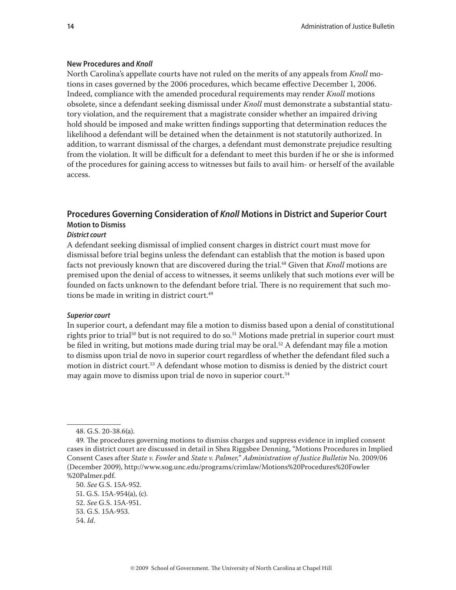#### **New Procedures and** *Knoll*

North Carolina's appellate courts have not ruled on the merits of any appeals from *Knoll* motions in cases governed by the 2006 procedures, which became effective December 1, 2006. Indeed, compliance with the amended procedural requirements may render *Knoll* motions obsolete, since a defendant seeking dismissal under *Knoll* must demonstrate a substantial statutory violation, and the requirement that a magistrate consider whether an impaired driving hold should be imposed and make written findings supporting that determination reduces the likelihood a defendant will be detained when the detainment is not statutorily authorized. In addition, to warrant dismissal of the charges, a defendant must demonstrate prejudice resulting from the violation. It will be difficult for a defendant to meet this burden if he or she is informed of the procedures for gaining access to witnesses but fails to avail him- or herself of the available access.

# **Procedures Governing Consideration of** *Knoll* **Motions in District and Superior Court Motion to Dismiss**

#### *District court*

A defendant seeking dismissal of implied consent charges in district court must move for dismissal before trial begins unless the defendant can establish that the motion is based upon facts not previously known that are discovered during the trial.<sup>48</sup> Given that *Knoll* motions are premised upon the denial of access to witnesses, it seems unlikely that such motions ever will be founded on facts unknown to the defendant before trial. There is no requirement that such motions be made in writing in district court.<sup>49</sup>

#### *Superior court*

In superior court, a defendant may file a motion to dismiss based upon a denial of constitutional rights prior to trial<sup>50</sup> but is not required to do so.<sup>51</sup> Motions made pretrial in superior court must be filed in writing, but motions made during trial may be oral.<sup>52</sup> A defendant may file a motion to dismiss upon trial de novo in superior court regardless of whether the defendant filed such a motion in district court.<sup>53</sup> A defendant whose motion to dismiss is denied by the district court may again move to dismiss upon trial de novo in superior court.<sup>54</sup>

<sup>48.</sup> G.S. 20-38.6(a).

<sup>49.</sup> The procedures governing motions to dismiss charges and suppress evidence in implied consent cases in district court are discussed in detail in Shea Riggsbee Denning, "Motions Procedures in Implied Consent Cases after *State v. Fowler* and *State v. Palmer,*" *Administration of Justice Bulletin* No. 2009/06 (December 2009), http://www.sog.unc.edu/programs/crimlaw/Motions%20Procedures%20Fowler %20Palmer.pdf.

<sup>50.</sup> *See* G.S. 15A-952.

<sup>51.</sup> G.S. 15A-954(a), (c). 52. *See* G.S. 15A-951. 53. G.S. 15A-953.

<sup>54.</sup> *Id*.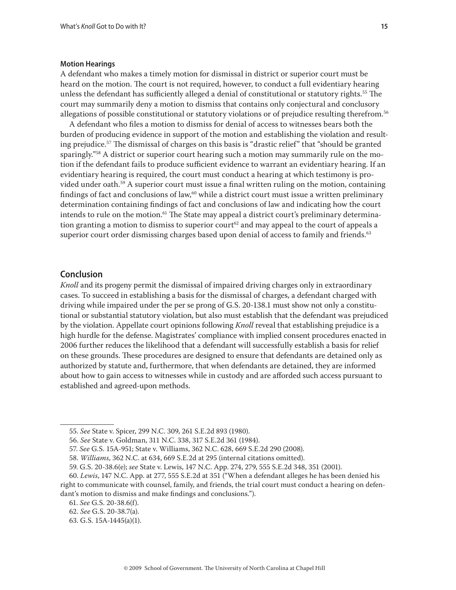#### **Motion Hearings**

A defendant who makes a timely motion for dismissal in district or superior court must be heard on the motion. The court is not required, however, to conduct a full evidentiary hearing unless the defendant has sufficiently alleged a denial of constitutional or statutory rights.<sup>55</sup> The court may summarily deny a motion to dismiss that contains only conjectural and conclusory allegations of possible constitutional or statutory violations or of prejudice resulting therefrom.56

A defendant who files a motion to dismiss for denial of access to witnesses bears both the burden of producing evidence in support of the motion and establishing the violation and resulting prejudice.57 The dismissal of charges on this basis is "drastic relief" that "should be granted sparingly.<sup>"58</sup> A district or superior court hearing such a motion may summarily rule on the motion if the defendant fails to produce sufficient evidence to warrant an evidentiary hearing. If an evidentiary hearing is required, the court must conduct a hearing at which testimony is provided under oath.59 A superior court must issue a final written ruling on the motion, containing findings of fact and conclusions of law, $^{60}$  while a district court must issue a written preliminary determination containing findings of fact and conclusions of law and indicating how the court intends to rule on the motion.<sup>61</sup> The State may appeal a district court's preliminary determination granting a motion to dismiss to superior court<sup>62</sup> and may appeal to the court of appeals a superior court order dismissing charges based upon denial of access to family and friends.<sup>63</sup>

# **Conclusion**

*Knoll* and its progeny permit the dismissal of impaired driving charges only in extraordinary cases. To succeed in establishing a basis for the dismissal of charges, a defendant charged with driving while impaired under the per se prong of G.S. 20-138.1 must show not only a constitutional or substantial statutory violation, but also must establish that the defendant was prejudiced by the violation. Appellate court opinions following *Knoll* reveal that establishing prejudice is a high hurdle for the defense. Magistrates' compliance with implied consent procedures enacted in 2006 further reduces the likelihood that a defendant will successfully establish a basis for relief on these grounds. These procedures are designed to ensure that defendants are detained only as authorized by statute and, furthermore, that when defendants are detained, they are informed about how to gain access to witnesses while in custody and are afforded such access pursuant to established and agreed-upon methods.

<sup>55.</sup> *See* State v. Spicer, 299 N.C. 309, 261 S.E.2d 893 (1980).

<sup>56.</sup> *See* State v. Goldman, 311 N.C. 338, 317 S.E.2d 361 (1984).

<sup>57.</sup> *See* G.S. 15A-951; State v. Williams, 362 N.C. 628, 669 S.E.2d 290 (2008).

<sup>58.</sup> *Williams*, 362 N.C. at 634, 669 S.E.2d at 295 (internal citations omitted).

<sup>59.</sup> G.S. 20-38.6(e); *see* State v. Lewis, 147 N.C. App. 274, 279, 555 S.E.2d 348, 351 (2001).

<sup>60.</sup> *Lewis*, 147 N.C. App. at 277, 555 S.E.2d at 351 ("When a defendant alleges he has been denied his right to communicate with counsel, family, and friends, the trial court must conduct a hearing on defendant's motion to dismiss and make findings and conclusions.").

<sup>61.</sup> *See* G.S. 20-38.6(f).

<sup>62.</sup> *See* G.S. 20-38.7(a).

<sup>63.</sup> G.S. 15A-1445(a)(1).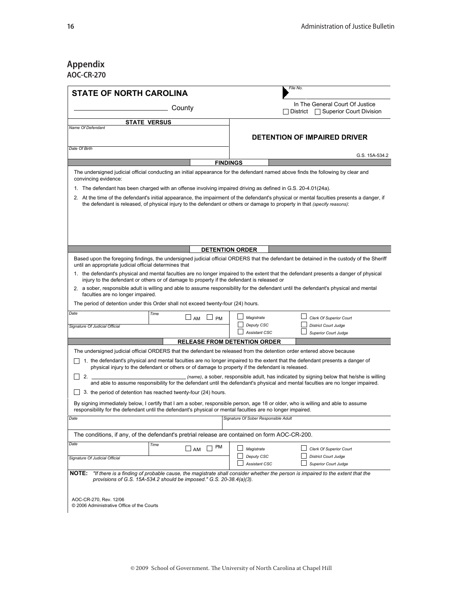# **Appendix AOC-CR-270**

| <b>STATE OF NORTH CAROLINA</b>                                                                                                                                                                                                          |                 |                                                                               | File No.                                                                                                                                                                                                                     |  |  |  |
|-----------------------------------------------------------------------------------------------------------------------------------------------------------------------------------------------------------------------------------------|-----------------|-------------------------------------------------------------------------------|------------------------------------------------------------------------------------------------------------------------------------------------------------------------------------------------------------------------------|--|--|--|
|                                                                                                                                                                                                                                         | County          | In The General Court Of Justice<br>$\Box$ Superior Court Division<br>District |                                                                                                                                                                                                                              |  |  |  |
| <b>STATE VERSUS</b><br>Name Of Defendant                                                                                                                                                                                                |                 |                                                                               |                                                                                                                                                                                                                              |  |  |  |
|                                                                                                                                                                                                                                         |                 |                                                                               | <b>DETENTION OF IMPAIRED DRIVER</b>                                                                                                                                                                                          |  |  |  |
| Date Of Birth                                                                                                                                                                                                                           |                 |                                                                               | G.S. 15A-534.2                                                                                                                                                                                                               |  |  |  |
|                                                                                                                                                                                                                                         |                 | <b>FINDINGS</b>                                                               |                                                                                                                                                                                                                              |  |  |  |
| convincing evidence:                                                                                                                                                                                                                    |                 |                                                                               | The undersigned judicial official conducting an initial appearance for the defendant named above finds the following by clear and                                                                                            |  |  |  |
| 1. The defendant has been charged with an offense involving impaired driving as defined in G.S. 20-4.01(24a).                                                                                                                           |                 |                                                                               |                                                                                                                                                                                                                              |  |  |  |
| the defendant is released, of physical injury to the defendant or others or damage to property in that (specify reasons):                                                                                                               |                 |                                                                               | 2. At the time of the defendant's initial appearance, the impairment of the defendant's physical or mental faculties presents a danger, if                                                                                   |  |  |  |
|                                                                                                                                                                                                                                         |                 |                                                                               |                                                                                                                                                                                                                              |  |  |  |
|                                                                                                                                                                                                                                         |                 | <b>DETENTION ORDER</b>                                                        |                                                                                                                                                                                                                              |  |  |  |
| until an appropriate judicial official determines that                                                                                                                                                                                  |                 |                                                                               | Based upon the foregoing findings, the undersigned judicial official ORDERS that the defendant be detained in the custody of the Sheriff                                                                                     |  |  |  |
| injury to the defendant or others or of damage to property if the defendant is released or                                                                                                                                              |                 |                                                                               | 1. the defendant's physical and mental faculties are no longer impaired to the extent that the defendant presents a danger of physical                                                                                       |  |  |  |
| faculties are no longer impaired.                                                                                                                                                                                                       |                 |                                                                               | 2. a sober, responsible adult is willing and able to assume responsibility for the defendant until the defendant's physical and mental                                                                                       |  |  |  |
| The period of detention under this Order shall not exceed twenty-four (24) hours.                                                                                                                                                       |                 |                                                                               |                                                                                                                                                                                                                              |  |  |  |
| Time                                                                                                                                                                                                                                    | J AM<br>PM      | Magistrate                                                                    | Clerk Of Superior Court                                                                                                                                                                                                      |  |  |  |
| Signature Of Judicial Official                                                                                                                                                                                                          |                 | Deputy CSC<br><b>Assistant CSC</b>                                            | <b>District Court Judge</b><br><b>Superior Court Judge</b>                                                                                                                                                                   |  |  |  |
|                                                                                                                                                                                                                                         |                 | <b>RELEASE FROM DETENTION ORDER</b>                                           |                                                                                                                                                                                                                              |  |  |  |
| The undersigned judicial official ORDERS that the defendant be released from the detention order entered above because                                                                                                                  |                 |                                                                               |                                                                                                                                                                                                                              |  |  |  |
| physical injury to the defendant or others or of damage to property if the defendant is released.                                                                                                                                       |                 |                                                                               | 1. the defendant's physical and mental faculties are no longer impaired to the extent that the defendant presents a danger of                                                                                                |  |  |  |
| 2.                                                                                                                                                                                                                                      |                 |                                                                               | (name), a sober, responsible adult, has indicated by signing below that he/she is willing<br>and able to assume responsibility for the defendant until the defendant's physical and mental faculties are no longer impaired. |  |  |  |
| 3. the period of detention has reached twenty-four (24) hours.                                                                                                                                                                          |                 |                                                                               |                                                                                                                                                                                                                              |  |  |  |
| responsibility for the defendant until the defendant's physical or mental faculties are no longer impaired.                                                                                                                             |                 |                                                                               | By signing immediately below, I certify that I am a sober, responsible person, age 18 or older, who is willing and able to assume                                                                                            |  |  |  |
|                                                                                                                                                                                                                                         |                 | Signature Of Sober Responsible Adult                                          |                                                                                                                                                                                                                              |  |  |  |
| The conditions, if any, of the defendant's pretrial release are contained on form AOC-CR-200.                                                                                                                                           |                 |                                                                               |                                                                                                                                                                                                                              |  |  |  |
| Time                                                                                                                                                                                                                                    | PM<br>$\Box$ AM | Magistrate                                                                    | Clerk Of Superior Court                                                                                                                                                                                                      |  |  |  |
|                                                                                                                                                                                                                                         |                 | Deputy CSC                                                                    | <b>District Court Judge</b>                                                                                                                                                                                                  |  |  |  |
|                                                                                                                                                                                                                                         |                 | Assistant CSC                                                                 | <b>Superior Court Judge</b>                                                                                                                                                                                                  |  |  |  |
| Signature Of Judicial Official<br>"If there is a finding of probable cause, the magistrate shall consider whether the person is impaired to the extent that the<br>provisions of G.S. 15A-534.2 should be imposed." G.S. 20-38.4(a)(3). |                 |                                                                               |                                                                                                                                                                                                                              |  |  |  |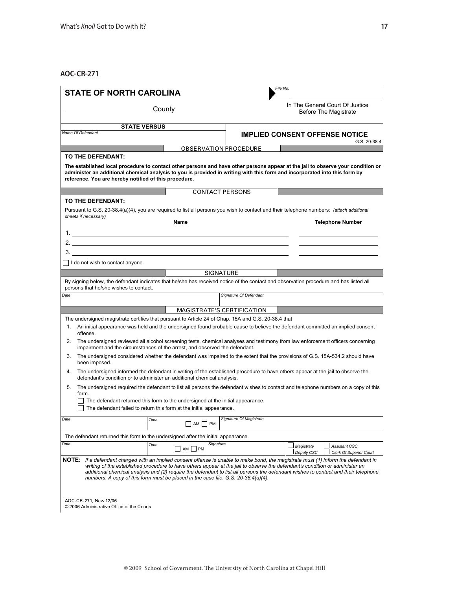**AOC-CR-271**

|              |                                                                                                                                                                                                                                                                                                                                                                                                                                                                                           |      |                  |                  |                              |            |            | In The General Court Of Justice                       |
|--------------|-------------------------------------------------------------------------------------------------------------------------------------------------------------------------------------------------------------------------------------------------------------------------------------------------------------------------------------------------------------------------------------------------------------------------------------------------------------------------------------------|------|------------------|------------------|------------------------------|------------|------------|-------------------------------------------------------|
| County       |                                                                                                                                                                                                                                                                                                                                                                                                                                                                                           |      |                  |                  | Before The Magistrate        |            |            |                                                       |
|              | <b>STATE VERSUS</b>                                                                                                                                                                                                                                                                                                                                                                                                                                                                       |      |                  |                  |                              |            |            |                                                       |
|              | Name Of Defendant                                                                                                                                                                                                                                                                                                                                                                                                                                                                         |      |                  |                  |                              |            |            | <b>IMPLIED CONSENT OFFENSE NOTICE</b><br>G.S. 20-38.4 |
|              |                                                                                                                                                                                                                                                                                                                                                                                                                                                                                           |      |                  |                  | <b>OBSERVATION PROCEDURE</b> |            |            |                                                       |
|              | TO THE DEFENDANT:                                                                                                                                                                                                                                                                                                                                                                                                                                                                         |      |                  |                  |                              |            |            |                                                       |
|              | The established local procedure to contact other persons and have other persons appear at the jail to observe your condition or<br>administer an additional chemical analysis to you is provided in writing with this form and incorporated into this form by<br>reference. You are hereby notified of this procedure.                                                                                                                                                                    |      |                  |                  |                              |            |            |                                                       |
|              |                                                                                                                                                                                                                                                                                                                                                                                                                                                                                           |      |                  |                  | <b>CONTACT PERSONS</b>       |            |            |                                                       |
|              | TO THE DEFENDANT:                                                                                                                                                                                                                                                                                                                                                                                                                                                                         |      |                  |                  |                              |            |            |                                                       |
|              | Pursuant to G.S. 20-38.4(a)(4), you are required to list all persons you wish to contact and their telephone numbers: (attach additional                                                                                                                                                                                                                                                                                                                                                  |      |                  |                  |                              |            |            |                                                       |
|              | sheets if necessary)                                                                                                                                                                                                                                                                                                                                                                                                                                                                      |      | Name             |                  |                              |            |            | <b>Telephone Number</b>                               |
|              |                                                                                                                                                                                                                                                                                                                                                                                                                                                                                           |      |                  |                  |                              |            |            |                                                       |
|              |                                                                                                                                                                                                                                                                                                                                                                                                                                                                                           |      |                  |                  |                              |            |            |                                                       |
|              |                                                                                                                                                                                                                                                                                                                                                                                                                                                                                           |      |                  |                  |                              |            |            |                                                       |
|              |                                                                                                                                                                                                                                                                                                                                                                                                                                                                                           |      |                  |                  |                              |            |            |                                                       |
|              | I do not wish to contact anyone.                                                                                                                                                                                                                                                                                                                                                                                                                                                          |      |                  |                  |                              |            |            |                                                       |
|              |                                                                                                                                                                                                                                                                                                                                                                                                                                                                                           |      |                  | <b>SIGNATURE</b> |                              |            |            |                                                       |
|              | By signing below, the defendant indicates that he/she has received notice of the contact and observation procedure and has listed all<br>persons that he/she wishes to contact.                                                                                                                                                                                                                                                                                                           |      |                  |                  |                              |            |            |                                                       |
| Date         |                                                                                                                                                                                                                                                                                                                                                                                                                                                                                           |      |                  |                  | Signature Of Defendant       |            |            |                                                       |
|              |                                                                                                                                                                                                                                                                                                                                                                                                                                                                                           |      |                  |                  |                              |            |            |                                                       |
|              |                                                                                                                                                                                                                                                                                                                                                                                                                                                                                           |      |                  |                  | MAGISTRATE'S CERTIFICATION   |            |            |                                                       |
|              | The undersigned magistrate certifies that pursuant to Article 24 of Chap. 15A and G.S. 20-38.4 that                                                                                                                                                                                                                                                                                                                                                                                       |      |                  |                  |                              |            |            |                                                       |
|              | 1. An initial appearance was held and the undersigned found probable cause to believe the defendant committed an implied consent<br>offense.                                                                                                                                                                                                                                                                                                                                              |      |                  |                  |                              |            |            |                                                       |
|              |                                                                                                                                                                                                                                                                                                                                                                                                                                                                                           |      |                  |                  |                              |            |            |                                                       |
|              | 2. The undersigned reviewed all alcohol screening tests, chemical analyses and testimony from law enforcement officers concerning<br>impairment and the circumstances of the arrest, and observed the defendant.                                                                                                                                                                                                                                                                          |      |                  |                  |                              |            |            |                                                       |
| 3.           | The undersigned considered whether the defendant was impaired to the extent that the provisions of G.S. 15A-534.2 should have<br>been imposed.                                                                                                                                                                                                                                                                                                                                            |      |                  |                  |                              |            |            |                                                       |
| 4.           | The undersigned informed the defendant in writing of the established procedure to have others appear at the jail to observe the<br>defendant's condition or to administer an additional chemical analysis.                                                                                                                                                                                                                                                                                |      |                  |                  |                              |            |            |                                                       |
| 5.           | The undersigned required the defendant to list all persons the defendant wishes to contact and telephone numbers on a copy of this                                                                                                                                                                                                                                                                                                                                                        |      |                  |                  |                              |            |            |                                                       |
|              | form.                                                                                                                                                                                                                                                                                                                                                                                                                                                                                     |      |                  |                  |                              |            |            |                                                       |
|              | The defendant returned this form to the undersigned at the initial appearance.<br>The defendant failed to return this form at the initial appearance.                                                                                                                                                                                                                                                                                                                                     |      |                  |                  |                              |            |            |                                                       |
|              |                                                                                                                                                                                                                                                                                                                                                                                                                                                                                           |      |                  |                  |                              |            |            |                                                       |
|              |                                                                                                                                                                                                                                                                                                                                                                                                                                                                                           | Time | AM   PM          |                  | Signature Of Magistrate      |            |            |                                                       |
| Date         | The defendant returned this form to the undersigned after the initial appearance.                                                                                                                                                                                                                                                                                                                                                                                                         |      |                  |                  |                              |            |            |                                                       |
| Date         |                                                                                                                                                                                                                                                                                                                                                                                                                                                                                           | Time |                  | Signature        |                              | Magistrate |            | <b>Assistant CSC</b>                                  |
|              |                                                                                                                                                                                                                                                                                                                                                                                                                                                                                           |      | AM <br><b>PM</b> |                  |                              |            | Deputy CSC | <b>Clerk Of Superior Court</b>                        |
|              | If a defendant charged with an implied consent offense is unable to make bond, the magistrate must (1) inform the defendant in<br>writing of the established procedure to have others appear at the jail to observe the defendant's condition or administer an<br>additional chemical analysis and (2) require the defendant to list all persons the defendant wishes to contact and their telephone<br>numbers. A copy of this form must be placed in the case file. G.S. 20-38.4(a)(4). |      |                  |                  |                              |            |            |                                                       |
| <b>NOTE:</b> |                                                                                                                                                                                                                                                                                                                                                                                                                                                                                           |      |                  |                  |                              |            |            |                                                       |